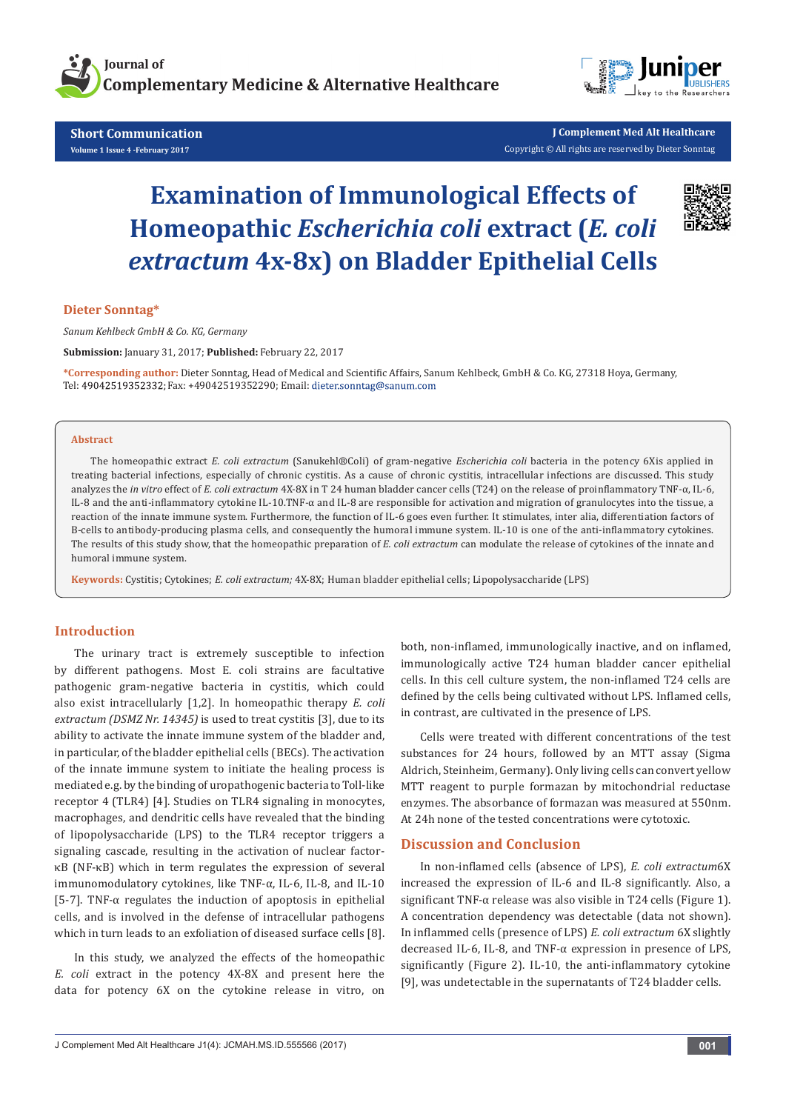

**Short Communication Volume 1 Issue 4 -February 2017**



**J Complement Med Alt Healthcare** Copyright © All rights are reserved by Dieter Sonntag

# **Examination of Immunological Effects of Homeopathic** *Escherichia coli* **extract (***E. coli extractum* **4x-8x) on Bladder Epithelial Cells**



**Dieter Sonntag\*** 

*Sanum Kehlbeck GmbH & Co. KG, Germany*

**Submission:** January 31, 2017; **Published:** February 22, 2017

**\*Corresponding author:** Dieter Sonntag, Head of Medical and Scientific Affairs, Sanum Kehlbeck, GmbH & Co. KG, 27318 Hoya, Germany, Tel: 49042519352332; Fax: +49042519352290; Email: dieter.sonntag@sanum.com

#### **Abstract**

The homeopathic extract *E. coli extractum* (Sanukehl®Coli) of gram-negative *Escherichia coli* bacteria in the potency 6Xis applied in treating bacterial infections, especially of chronic cystitis. As a cause of chronic cystitis, intracellular infections are discussed. This study analyzes the *in vitro* effect of *E. coli extractum* 4X-8X in T 24 human bladder cancer cells (T24) on the release of proinflammatory TNF-α, IL-6, IL-8 and the anti-inflammatory cytokine IL-10.TNF-α and IL-8 are responsible for activation and migration of granulocytes into the tissue, a reaction of the innate immune system. Furthermore, the function of IL-6 goes even further. It stimulates, inter alia, differentiation factors of B-cells to antibody-producing plasma cells, and consequently the humoral immune system. IL-10 is one of the anti-inflammatory cytokines. The results of this study show, that the homeopathic preparation of *E. coli extractum* can modulate the release of cytokines of the innate and humoral immune system.

**Keywords:** Cystitis; Cytokines; *E. coli extractum;* 4X-8X; Human bladder epithelial cells; Lipopolysaccharide (LPS)

### **Introduction**

The urinary tract is extremely susceptible to infection by different pathogens. Most E. coli strains are facultative pathogenic gram-negative bacteria in cystitis, which could also exist intracellularly [1,2]. In homeopathic therapy *E. coli extractum (DSMZ Nr. 14345)* is used to treat cystitis [3], due to its ability to activate the innate immune system of the bladder and, in particular, of the bladder epithelial cells (BECs). The activation of the innate immune system to initiate the healing process is mediated e.g. by the binding of uropathogenic bacteria to Toll-like receptor 4 (TLR4) [4]. Studies on TLR4 signaling in monocytes, macrophages, and dendritic cells have revealed that the binding of lipopolysaccharide (LPS) to the TLR4 receptor triggers a signaling cascade, resulting in the activation of nuclear factorκB (NF-κB) which in term regulates the expression of several immunomodulatory cytokines, like TNF-α, IL-6, IL-8, and IL-10 [5-7]. TNF- $\alpha$  regulates the induction of apoptosis in epithelial cells, and is involved in the defense of intracellular pathogens which in turn leads to an exfoliation of diseased surface cells [8].

In this study, we analyzed the effects of the homeopathic *E. coli* extract in the potency 4X-8X and present here the data for potency 6X on the cytokine release in vitro, on

both, non-inflamed, immunologically inactive, and on inflamed, immunologically active T24 human bladder cancer epithelial cells. In this cell culture system, the non-inflamed T24 cells are defined by the cells being cultivated without LPS. Inflamed cells, in contrast, are cultivated in the presence of LPS.

Cells were treated with different concentrations of the test substances for 24 hours, followed by an MTT assay (Sigma Aldrich, Steinheim, Germany). Only living cells can convert yellow MTT reagent to purple formazan by mitochondrial reductase enzymes. The absorbance of formazan was measured at 550nm. At 24h none of the tested concentrations were cytotoxic.

#### **Discussion and Conclusion**

In non-inflamed cells (absence of LPS), *E. coli extractum*6X increased the expression of IL-6 and IL-8 significantly. Also, a significant TNF- $\alpha$  release was also visible in T24 cells (Figure 1). A concentration dependency was detectable (data not shown). In inflammed cells (presence of LPS) *E. coli extractum* 6X slightly decreased IL-6, IL-8, and TNF-α expression in presence of LPS, significantly (Figure 2). IL-10, the anti-inflammatory cytokine [9], was undetectable in the supernatants of T24 bladder cells.